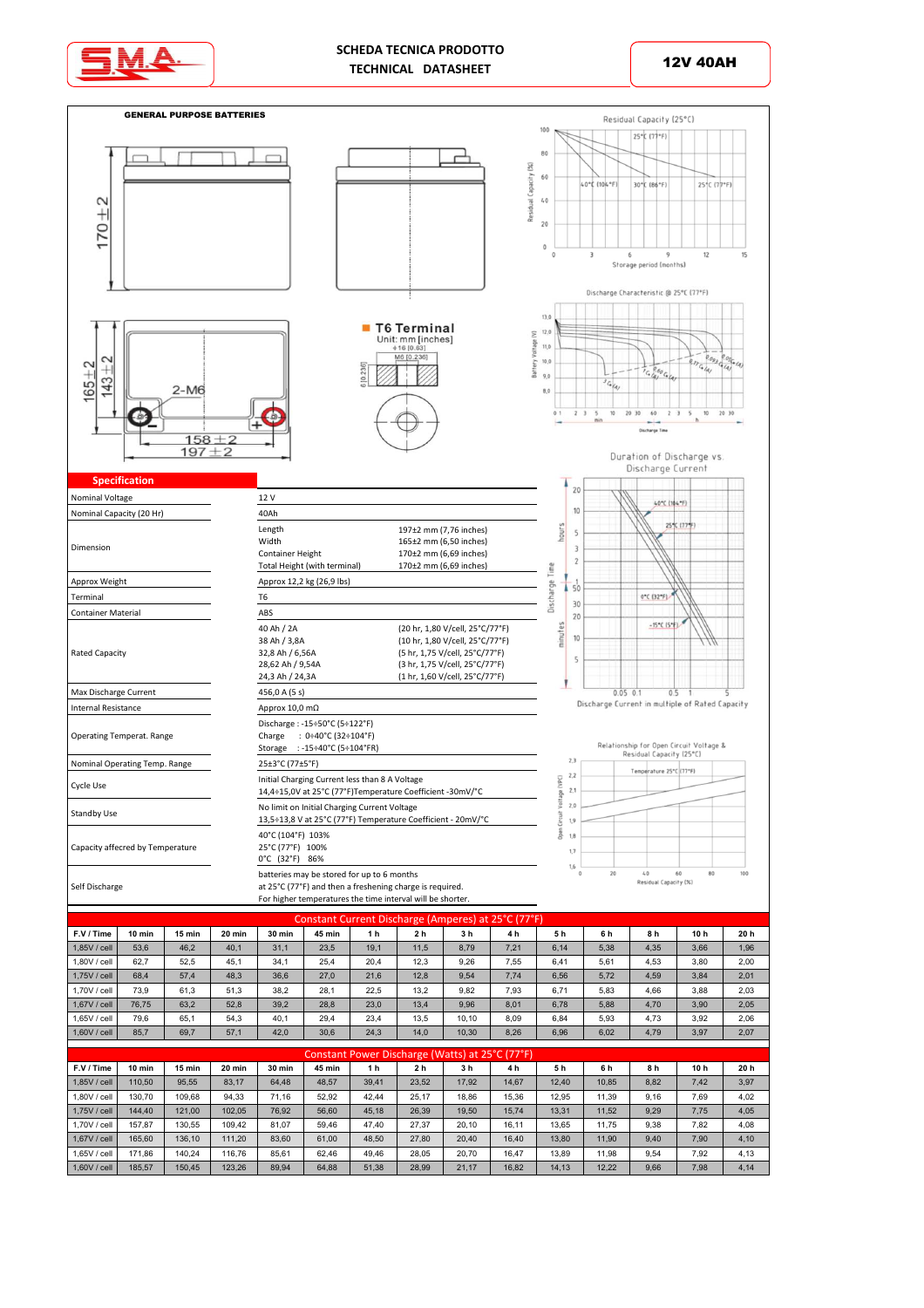

## **SCHEDA TECNICA PRODOTTO** TECHNICAL DATASHEET **12V 40AH**